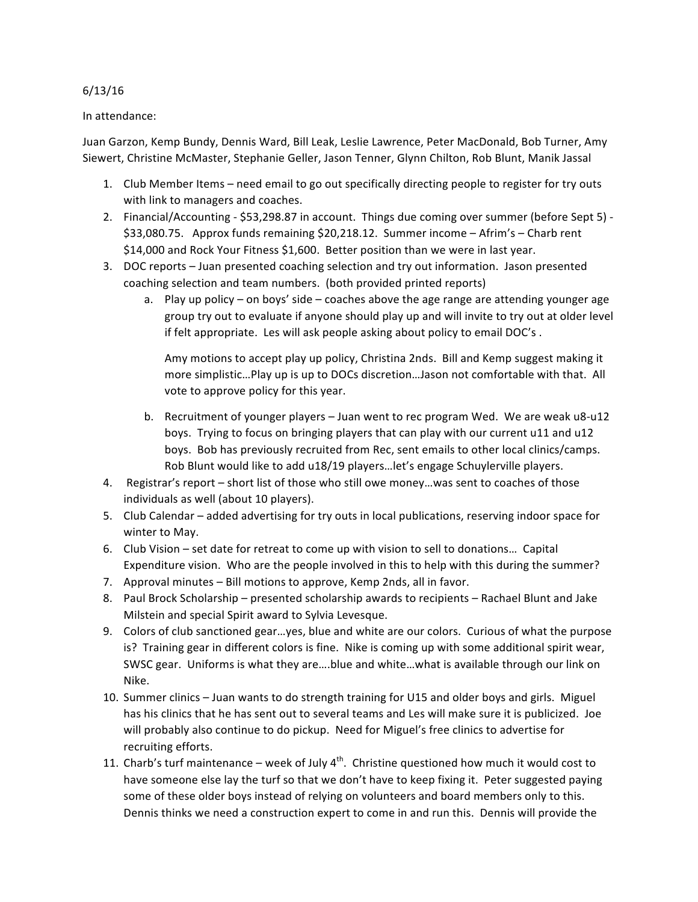## 6/13/16

## In attendance:

Juan Garzon, Kemp Bundy, Dennis Ward, Bill Leak, Leslie Lawrence, Peter MacDonald, Bob Turner, Amy Siewert, Christine McMaster, Stephanie Geller, Jason Tenner, Glynn Chilton, Rob Blunt, Manik Jassal

- 1. Club Member Items need email to go out specifically directing people to register for try outs with link to managers and coaches.
- 2. Financial/Accounting \$53,298.87 in account. Things due coming over summer (before Sept 5) -\$33,080.75. Approx funds remaining \$20,218.12. Summer income – Afrim's – Charb rent \$14,000 and Rock Your Fitness \$1,600. Better position than we were in last year.
- 3. DOC reports Juan presented coaching selection and try out information. Jason presented coaching selection and team numbers. (both provided printed reports)
	- a. Play up policy on boys' side coaches above the age range are attending younger age group try out to evaluate if anyone should play up and will invite to try out at older level if felt appropriate. Les will ask people asking about policy to email DOC's.

Amy motions to accept play up policy, Christina 2nds. Bill and Kemp suggest making it more simplistic...Play up is up to DOCs discretion...Jason not comfortable with that. All vote to approve policy for this year.

- b. Recruitment of younger players Juan went to rec program Wed. We are weak u8-u12 boys. Trying to focus on bringing players that can play with our current u11 and u12 boys. Bob has previously recruited from Rec, sent emails to other local clinics/camps. Rob Blunt would like to add u18/19 players...let's engage Schuylerville players.
- 4. Registrar's report short list of those who still owe money...was sent to coaches of those individuals as well (about 10 players).
- 5. Club Calendar added advertising for try outs in local publications, reserving indoor space for winter to May.
- 6. Club Vision set date for retreat to come up with vision to sell to donations... Capital Expenditure vision. Who are the people involved in this to help with this during the summer?
- 7. Approval minutes Bill motions to approve, Kemp 2nds, all in favor.
- 8. Paul Brock Scholarship presented scholarship awards to recipients Rachael Blunt and Jake Milstein and special Spirit award to Sylvia Levesque.
- 9. Colors of club sanctioned gear...yes, blue and white are our colors. Curious of what the purpose is? Training gear in different colors is fine. Nike is coming up with some additional spirit wear, SWSC gear. Uniforms is what they are....blue and white...what is available through our link on Nike.
- 10. Summer clinics Juan wants to do strength training for U15 and older boys and girls. Miguel has his clinics that he has sent out to several teams and Les will make sure it is publicized. Joe will probably also continue to do pickup. Need for Miguel's free clinics to advertise for recruiting efforts.
- 11. Charb's turf maintenance week of July  $4^{th}$ . Christine questioned how much it would cost to have someone else lay the turf so that we don't have to keep fixing it. Peter suggested paying some of these older boys instead of relying on volunteers and board members only to this. Dennis thinks we need a construction expert to come in and run this. Dennis will provide the